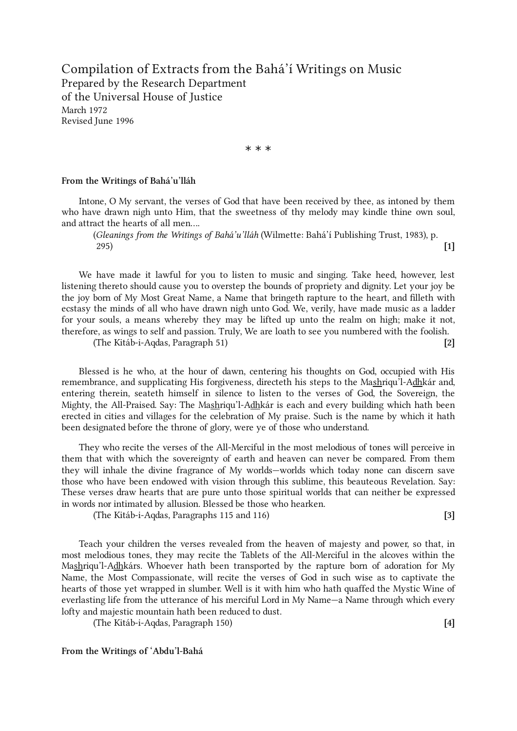Compilation of Extracts from the Bahá'í Writings on Music Prepared by the Research Department of the Universal House of Justice March 1972 Revised June 1996

\* \* \*

## From the Writings of Bahá'u'lláh

Intone, O My servant, the verses of God that have been received by thee, as intoned by them who have drawn nigh unto Him, that the sweetness of thy melody may kindle thine own soul, and attract the hearts of all men....

(Gleanings from the Writings of Bahá'u'lláh (Wilmette: Bahá'í Publishing Trust, 1983), p.  $(1)$ 

We have made it lawful for you to listen to music and singing. Take heed, however, lest listening thereto should cause you to overstep the bounds of propriety and dignity. Let your joy be the joy born of My Most Great Name, a Name that bringeth rapture to the heart, and filleth with ecstasy the minds of all who have drawn nigh unto God. We, verily, have made music as a ladder for your souls, a means whereby they may be lifted up unto the realm on high; make it not, therefore, as wings to self and passion. Truly, We are loath to see you numbered with the foolish.

(The Kitáb-i-Aqdas, Paragraph 51) [2]

Blessed is he who, at the hour of dawn, centering his thoughts on God, occupied with His remembrance, and supplicating His forgiveness, directeth his steps to the Mashriqu'l-Adhkár and, entering therein, seateth himself in silence to listen to the verses of God, the Sovereign, the Mighty, the All-Praised. Say: The Mashriqu'l-Adhkár is each and every building which hath been erected in cities and villages for the celebration of My praise. Such is the name by which it hath been designated before the throne of glory, were ye of those who understand.

They who recite the verses of the All-Merciful in the most melodious of tones will perceive in them that with which the sovereignty of earth and heaven can never be compared. From them they will inhale the divine fragrance of My worlds—worlds which today none can discern save those who have been endowed with vision through this sublime, this beauteous Revelation. Say: These verses draw hearts that are pure unto those spiritual worlds that can neither be expressed in words nor intimated by allusion. Blessed be those who hearken.

(The Kitáb-i-Aqdas, Paragraphs 115 and 116) [3]

Teach your children the verses revealed from the heaven of majesty and power, so that, in most melodious tones, they may recite the Tablets of the All-Merciful in the alcoves within the Mashriqu'l-Adhkárs. Whoever hath been transported by the rapture born of adoration for My Name, the Most Compassionate, will recite the verses of God in such wise as to captivate the hearts of those yet wrapped in slumber. Well is it with him who hath quaffed the Mystic Wine of everlasting life from the utterance of his merciful Lord in My Name—a Name through which every lofty and majestic mountain hath been reduced to dust.

(The Kitáb-i-Aqdas, Paragraph 150) [4]

From the Writings of 'Abdu'l-Bahá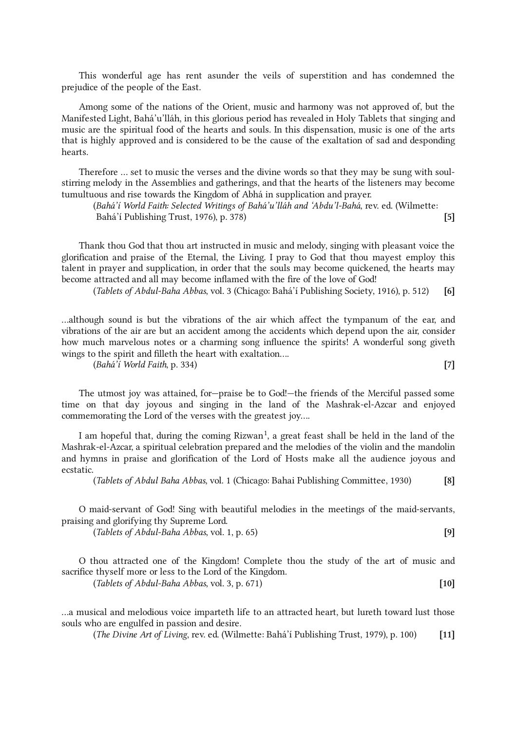This wonderful age has rent asunder the veils of superstition and has condemned the prejudice of the people of the East.

Among some of the nations of the Orient, music and harmony was not approved of, but the Manifested Light, Bahá'u'lláh, in this glorious period has revealed in Holy Tablets that singing and music are the spiritual food of the hearts and souls. In this dispensation, music is one of the arts that is highly approved and is considered to be the cause of the exaltation of sad and desponding hearts.

Therefore ... set to music the verses and the divine words so that they may be sung with soulstirring melody in the Assemblies and gatherings, and that the hearts of the listeners may become tumultuous and rise towards the Kingdom of Abhá in supplication and prayer.

(Bahá'í World Faith: Selected Writings of Bahá'u'lláh and 'Abdu'l-Bahá, rev. ed. (Wilmette: Bahá'í Publishing Trust, 1976), p. 378) [5]

Thank thou God that thou art instructed in music and melody, singing with pleasant voice the glorification and praise of the Eternal, the Living. I pray to God that thou mayest employ this talent in prayer and supplication, in order that the souls may become quickened, the hearts may become attracted and all may become inflamed with the fire of the love of God!

(Tablets of Abdul-Baha Abbas, vol. 3 (Chicago: Bahá'í Publishing Society, 1916), p. 512) [6]

...although sound is but the vibrations of the air which affect the tympanum of the ear, and vibrations of the air are but an accident among the accidents which depend upon the air, consider how much marvelous notes or a charming song influence the spirits! A wonderful song giveth wings to the spirit and filleth the heart with exaltation....

 $(Bahá' i World Faith, p. 334)$  [7]

The utmost joy was attained, for—praise be to God!—the friends of the Merciful passed some time on that day joyous and singing in the land of the Mashrak-el-Azcar and enjoyed commemorating the Lord of the verses with the greatest joy....

<span id="page-1-0"></span>I am hopeful that, during the coming Rizwan<sup>[1](#page-6-0)</sup>, a great feast shall be held in the land of the Mashrak-el-Azcar, a spiritual celebration prepared and the melodies of the violin and the mandolin and hymns in praise and glorification of the Lord of Hosts make all the audience joyous and ecstatic.

(Tablets of Abdul Baha Abbas, vol. 1 (Chicago: Bahai Publishing Committee, 1930) [8]

O maid-servant of God! Sing with beautiful melodies in the meetings of the maid-servants, praising and glorifying thy Supreme Lord.

(Tablets of Abdul-Baha Abbas, vol. 1, p. 65) [9]

O thou attracted one of the Kingdom! Complete thou the study of the art of music and sacrifice thyself more or less to the Lord of the Kingdom.

 $(Tablets of Abdul-Baha Abbas, vol. 3, p. 671)$  [10]

...a musical and melodious voice imparteth life to an attracted heart, but lureth toward lust those souls who are engulfed in passion and desire.

(The Divine Art of Living, rev. ed. (Wilmette: Bahá'í Publishing Trust, 1979), p. 100) [11]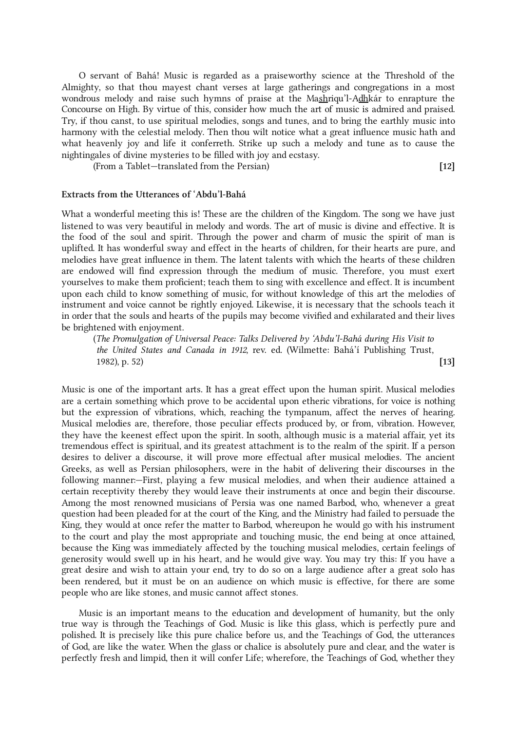O servant of Bahá! Music is regarded as a praiseworthy science at the Threshold of the Almighty, so that thou mayest chant verses at large gatherings and congregations in a most wondrous melody and raise such hymns of praise at the Mashriqu'l-Adhkár to enrapture the Concourse on High. By virtue of this, consider how much the art of music is admired and praised. Try, if thou canst, to use spiritual melodies, songs and tunes, and to bring the earthly music into harmony with the celestial melody. Then thou wilt notice what a great influence music hath and what heavenly joy and life it conferreth. Strike up such a melody and tune as to cause the nightingales of divine mysteries to be filled with joy and ecstasy.

(From a Tablet—translated from the Persian) [12]

## Extracts from the Utterances of 'Abdu'l-Bahá

What a wonderful meeting this is! These are the children of the Kingdom. The song we have just listened to was very beautiful in melody and words. The art of music is divine and effective. It is the food of the soul and spirit. Through the power and charm of music the spirit of man is uplifted. It has wonderful sway and effect in the hearts of children, for their hearts are pure, and melodies have great influence in them. The latent talents with which the hearts of these children are endowed will find expression through the medium of music. Therefore, you must exert yourselves to make them proficient; teach them to sing with excellence and effect. It is incumbent upon each child to know something of music, for without knowledge of this art the melodies of instrument and voice cannot be rightly enjoyed. Likewise, it is necessary that the schools teach it in order that the souls and hearts of the pupils may become vivified and exhilarated and their lives be brightened with enjoyment.

(The Promulgation of Universal Peace: Talks Delivered by 'Abdu'l-Bahá during His Visit to the United States and Canada in 1912, rev. ed. (Wilmette: Bahá'í Publishing Trust, 1982), p. 52) [13]

Music is one of the important arts. It has a great effect upon the human spirit. Musical melodies are a certain something which prove to be accidental upon etheric vibrations, for voice is nothing but the expression of vibrations, which, reaching the tympanum, affect the nerves of hearing. Musical melodies are, therefore, those peculiar effects produced by, or from, vibration. However, they have the keenest effect upon the spirit. In sooth, although music is a material affair, yet its tremendous effect is spiritual, and its greatest attachment is to the realm of the spirit. If a person desires to deliver a discourse, it will prove more effectual after musical melodies. The ancient Greeks, as well as Persian philosophers, were in the habit of delivering their discourses in the following manner:—First, playing a few musical melodies, and when their audience attained a certain receptivity thereby they would leave their instruments at once and begin their discourse. Among the most renowned musicians of Persia was one named Barbod, who, whenever a great question had been pleaded for at the court of the King, and the Ministry had failed to persuade the King, they would at once refer the matter to Barbod, whereupon he would go with his instrument to the court and play the most appropriate and touching music, the end being at once attained, because the King was immediately affected by the touching musical melodies, certain feelings of generosity would swell up in his heart, and he would give way. You may try this: If you have a great desire and wish to attain your end, try to do so on a large audience after a great solo has been rendered, but it must be on an audience on which music is effective, for there are some people who are like stones, and music cannot affect stones.

Music is an important means to the education and development of humanity, but the only true way is through the Teachings of God. Music is like this glass, which is perfectly pure and polished. It is precisely like this pure chalice before us, and the Teachings of God, the utterances of God, are like the water. When the glass or chalice is absolutely pure and clear, and the water is perfectly fresh and limpid, then it will confer Life; wherefore, the Teachings of God, whether they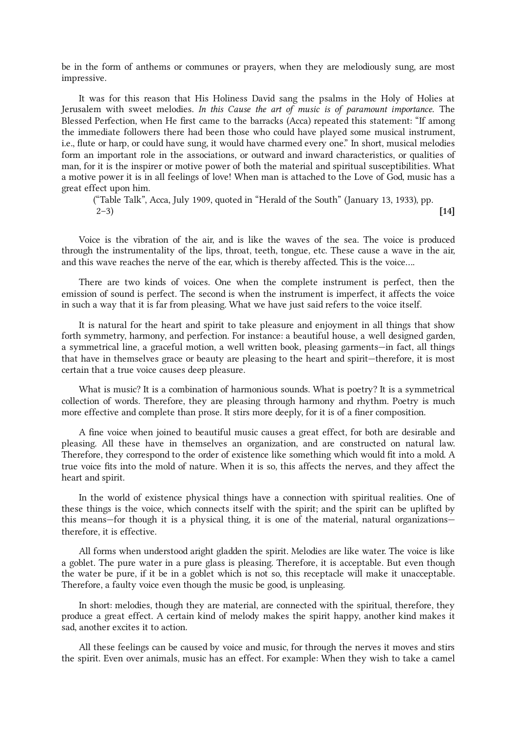be in the form of anthems or communes or prayers, when they are melodiously sung, are most impressive.

It was for this reason that His Holiness David sang the psalms in the Holy of Holies at Jerusalem with sweet melodies. In this Cause the art of music is of paramount importance. The Blessed Perfection, when He first came to the barracks (Acca) repeated this statement: "If among the immediate followers there had been those who could have played some musical instrument, i.e., flute or harp, or could have sung, it would have charmed every one." In short, musical melodies form an important role in the associations, or outward and inward characteristics, or qualities of man, for it is the inspirer or motive power of both the material and spiritual susceptibilities. What a motive power it is in all feelings of love! When man is attached to the Love of God, music has a great effect upon him.

("Table Talk", Acca, July 1909, quoted in "Herald of the South" (January 13, 1933), pp.  $(14)$ 

Voice is the vibration of the air, and is like the waves of the sea. The voice is produced through the instrumentality of the lips, throat, teeth, tongue, etc. These cause a wave in the air, and this wave reaches the nerve of the ear, which is thereby affected. This is the voice....

There are two kinds of voices. One when the complete instrument is perfect, then the emission of sound is perfect. The second is when the instrument is imperfect, it affects the voice in such a way that it is far from pleasing. What we have just said refers to the voice itself.

It is natural for the heart and spirit to take pleasure and enjoyment in all things that show forth symmetry, harmony, and perfection. For instance: a beautiful house, a well designed garden, a symmetrical line, a graceful motion, a well written book, pleasing garments—in fact, all things that have in themselves grace or beauty are pleasing to the heart and spirit—therefore, it is most certain that a true voice causes deep pleasure.

What is music? It is a combination of harmonious sounds. What is poetry? It is a symmetrical collection of words. Therefore, they are pleasing through harmony and rhythm. Poetry is much more effective and complete than prose. It stirs more deeply, for it is of a finer composition.

A fine voice when joined to beautiful music causes a great effect, for both are desirable and pleasing. All these have in themselves an organization, and are constructed on natural law. Therefore, they correspond to the order of existence like something which would fit into a mold. A true voice fits into the mold of nature. When it is so, this affects the nerves, and they affect the heart and spirit.

In the world of existence physical things have a connection with spiritual realities. One of these things is the voice, which connects itself with the spirit; and the spirit can be uplifted by this means—for though it is a physical thing, it is one of the material, natural organizations therefore, it is effective.

All forms when understood aright gladden the spirit. Melodies are like water. The voice is like a goblet. The pure water in a pure glass is pleasing. Therefore, it is acceptable. But even though the water be pure, if it be in a goblet which is not so, this receptacle will make it unacceptable. Therefore, a faulty voice even though the music be good, is unpleasing.

In short: melodies, though they are material, are connected with the spiritual, therefore, they produce a great effect. A certain kind of melody makes the spirit happy, another kind makes it sad, another excites it to action.

All these feelings can be caused by voice and music, for through the nerves it moves and stirs the spirit. Even over animals, music has an effect. For example: When they wish to take a camel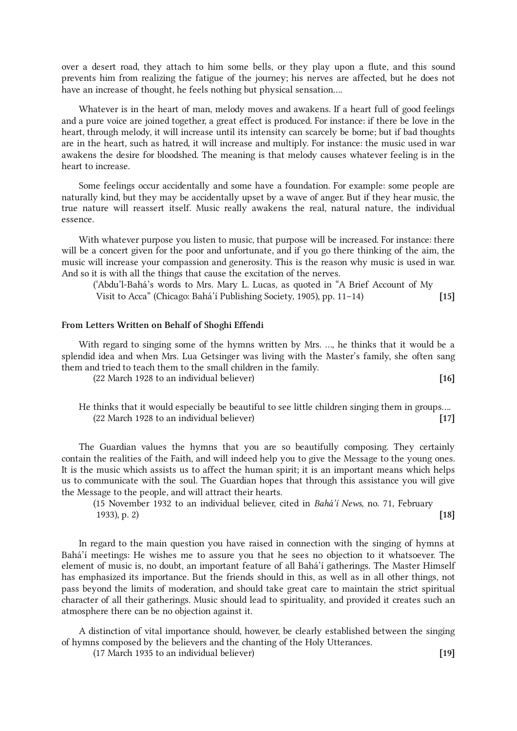over a desert road, they attach to him some bells, or they play upon a flute, and this sound prevents him from realizing the fatigue of the journey; his nerves are affected, but he does not have an increase of thought, he feels nothing but physical sensation....

Whatever is in the heart of man, melody moves and awakens. If a heart full of good feelings and a pure voice are joined together, a great effect is produced. For instance: if there be love in the heart, through melody, it will increase until its intensity can scarcely be borne; but if bad thoughts are in the heart, such as hatred, it will increase and multiply. For instance: the music used in war awakens the desire for bloodshed. The meaning is that melody causes whatever feeling is in the heart to increase.

Some feelings occur accidentally and some have a foundation. For example: some people are naturally kind, but they may be accidentally upset by a wave of anger. But if they hear music, the true nature will reassert itself. Music really awakens the real, natural nature, the individual essence.

With whatever purpose you listen to music, that purpose will be increased. For instance: there will be a concert given for the poor and unfortunate, and if you go there thinking of the aim, the music will increase your compassion and generosity. This is the reason why music is used in war. And so it is with all the things that cause the excitation of the nerves.

('Abdu'l-Bahá's words to Mrs. Mary L. Lucas, as quoted in "A Brief Account of My Visit to Acca" (Chicago: Bahá'í Publishing Society, 1905), pp. 11–14) [15]

## From Letters Written on Behalf of Shoghi Effendi

With regard to singing some of the hymns written by Mrs. ..., he thinks that it would be a splendid idea and when Mrs. Lua Getsinger was living with the Master's family, she often sang them and tried to teach them to the small children in the family.

(22 March 1928 to an individual believer) [16]

He thinks that it would especially be beautiful to see little children singing them in groups.... (22 March 1928 to an individual believer) [17]

The Guardian values the hymns that you are so beautifully composing. They certainly contain the realities of the Faith, and will indeed help you to give the Message to the young ones. It is the music which assists us to affect the human spirit; it is an important means which helps us to communicate with the soul. The Guardian hopes that through this assistance you will give the Message to the people, and will attract their hearts.

(15 November 1932 to an individual believer, cited in Bahá'í News, no. 71, February 1933), p. 2)  $[18]$ 

In regard to the main question you have raised in connection with the singing of hymns at Bahá'í meetings: He wishes me to assure you that he sees no objection to it whatsoever. The element of music is, no doubt, an important feature of all Bahá'í gatherings. The Master Himself has emphasized its importance. But the friends should in this, as well as in all other things, not pass beyond the limits of moderation, and should take great care to maintain the strict spiritual character of all their gatherings. Music should lead to spirituality, and provided it creates such an atmosphere there can be no objection against it.

A distinction of vital importance should, however, be clearly established between the singing of hymns composed by the believers and the chanting of the Holy Utterances.

(17 March 1935 to an individual believer) [19]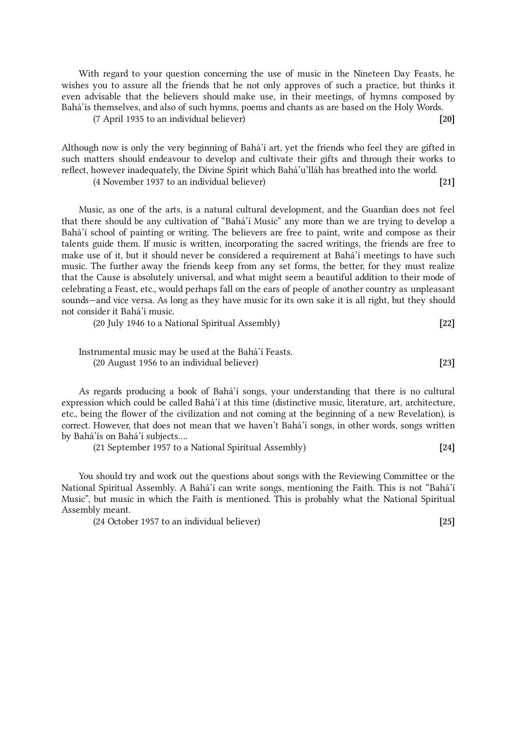With regard to your question concerning the use of music in the Nineteen Day Feasts, he wishes you to assure all the friends that he not only approves of such a practice, but thinks it even advisable that the believers should make use, in their meetings, of hymns composed by Bahá'ís themselves, and also of such hymns, poems and chants as are based on the Holy Words.

(7 April 1935 to an individual believer) [20]

Although now is only the very beginning of Bahá'í art, yet the friends who feel they are gifted in such matters should endeavour to develop and cultivate their gifts and through their works to reflect, however inadequately, the Divine Spirit which Bahá'u'lláh has breathed into the world.

(4 November 1937 to an individual believer) [21]

Music, as one of the arts, is a natural cultural development, and the Guardian does not feel that there should be any cultivation of "Bahá'í Music" any more than we are trying to develop a Bahá'í school of painting or writing. The believers are free to paint, write and compose as their talents guide them. If music is written, incorporating the sacred writings, the friends are free to make use of it, but it should never be considered a requirement at Bahá'í meetings to have such music. The further away the friends keep from any set forms, the better, for they must realize that the Cause is absolutely universal, and what might seem a beautiful addition to their mode of celebrating a Feast, etc., would perhaps fall on the ears of people of another country as unpleasant sounds—and vice versa. As long as they have music for its own sake it is all right, but they should not consider it Bahá'í music.

| (20 July 1946 to a National Spiritual Assembly) | $[22]$ |
|-------------------------------------------------|--------|
|-------------------------------------------------|--------|

Instrumental music may be used at the Bahá'í Feasts. (20 August 1956 to an individual believer) [23]

As regards producing a book of Bahá'í songs, your understanding that there is no cultural expression which could be called Bahá'í at this time (distinctive music, literature, art, architecture, etc., being the flower of the civilization and not coming at the beginning of a new Revelation), is correct. However, that does not mean that we haven't Bahá'í songs, in other words, songs written by Bahá'ís on Bahá'í subjects....

(21 September 1957 to a National Spiritual Assembly) [24]

You should try and work out the questions about songs with the Reviewing Committee or the National Spiritual Assembly. A Bahá'í can write songs, mentioning the Faith. This is not "Bahá'í Music", but music in which the Faith is mentioned. This is probably what the National Spiritual Assembly meant.

(24 October 1957 to an individual believer) [25]